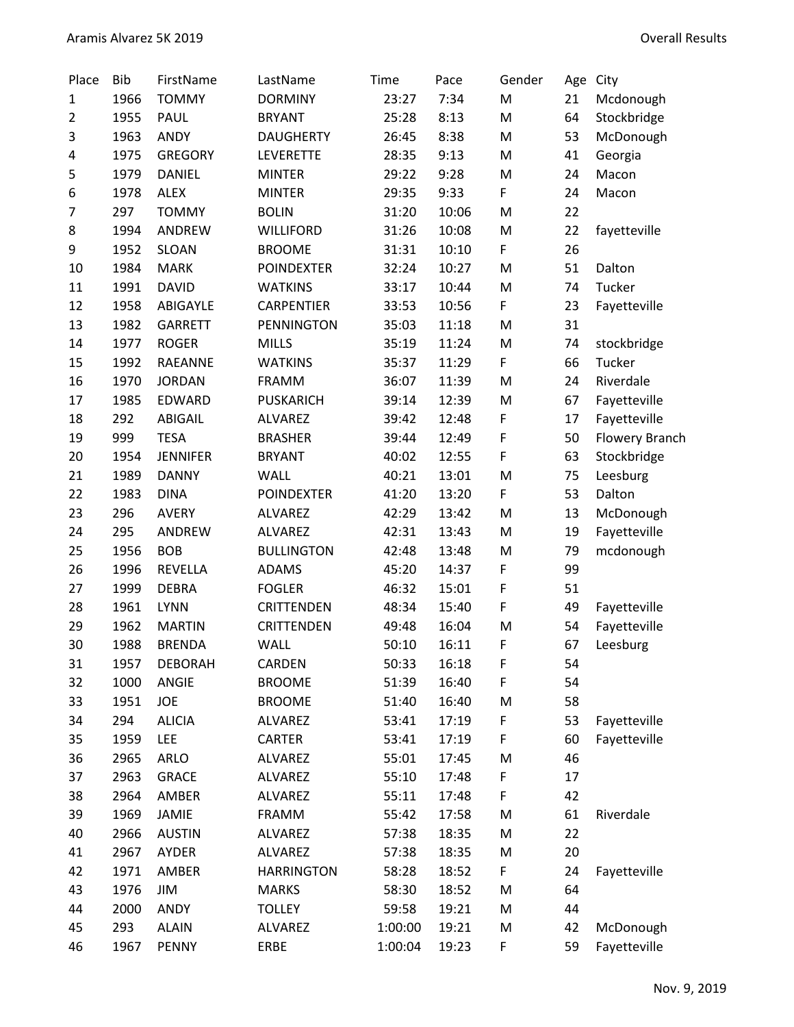| Place          | <b>Bib</b> | FirstName       | LastName          | Time    | Pace  | Gender | Age | City                  |
|----------------|------------|-----------------|-------------------|---------|-------|--------|-----|-----------------------|
| $\mathbf{1}$   | 1966       | <b>TOMMY</b>    | <b>DORMINY</b>    | 23:27   | 7:34  | M      | 21  | Mcdonough             |
| $\overline{2}$ | 1955       | <b>PAUL</b>     | <b>BRYANT</b>     | 25:28   | 8:13  | M      | 64  | Stockbridge           |
| 3              | 1963       | <b>ANDY</b>     | <b>DAUGHERTY</b>  | 26:45   | 8:38  | M      | 53  | McDonough             |
| 4              | 1975       | <b>GREGORY</b>  | LEVERETTE         | 28:35   | 9:13  | M      | 41  | Georgia               |
| 5              | 1979       | <b>DANIEL</b>   | <b>MINTER</b>     | 29:22   | 9:28  | M      | 24  | Macon                 |
| 6              | 1978       | <b>ALEX</b>     | <b>MINTER</b>     | 29:35   | 9:33  | F      | 24  | Macon                 |
| 7              | 297        | <b>TOMMY</b>    | <b>BOLIN</b>      | 31:20   | 10:06 | M      | 22  |                       |
| 8              | 1994       | ANDREW          | <b>WILLIFORD</b>  | 31:26   | 10:08 | M      | 22  | fayetteville          |
| 9              | 1952       | <b>SLOAN</b>    | <b>BROOME</b>     | 31:31   | 10:10 | F      | 26  |                       |
| 10             | 1984       | <b>MARK</b>     | <b>POINDEXTER</b> | 32:24   | 10:27 | M      | 51  | Dalton                |
| 11             | 1991       | <b>DAVID</b>    | <b>WATKINS</b>    | 33:17   | 10:44 | M      | 74  | Tucker                |
| 12             | 1958       | ABIGAYLE        | CARPENTIER        | 33:53   | 10:56 | F      | 23  | Fayetteville          |
| 13             | 1982       | <b>GARRETT</b>  | <b>PENNINGTON</b> | 35:03   | 11:18 | M      | 31  |                       |
| 14             | 1977       | <b>ROGER</b>    | <b>MILLS</b>      | 35:19   | 11:24 | M      | 74  | stockbridge           |
| 15             | 1992       | <b>RAEANNE</b>  | <b>WATKINS</b>    | 35:37   | 11:29 | F      | 66  | Tucker                |
| 16             | 1970       | <b>JORDAN</b>   | <b>FRAMM</b>      | 36:07   | 11:39 | M      | 24  | Riverdale             |
| 17             | 1985       | EDWARD          | <b>PUSKARICH</b>  | 39:14   | 12:39 | M      | 67  | Fayetteville          |
| 18             | 292        | ABIGAIL         | <b>ALVAREZ</b>    | 39:42   | 12:48 | F      | 17  | Fayetteville          |
| 19             | 999        | <b>TESA</b>     | <b>BRASHER</b>    | 39:44   | 12:49 | F      | 50  | <b>Flowery Branch</b> |
| 20             | 1954       | <b>JENNIFER</b> | <b>BRYANT</b>     | 40:02   | 12:55 | F      | 63  | Stockbridge           |
| 21             | 1989       | <b>DANNY</b>    | <b>WALL</b>       | 40:21   | 13:01 | M      | 75  | Leesburg              |
| 22             | 1983       | <b>DINA</b>     | <b>POINDEXTER</b> | 41:20   | 13:20 | F      | 53  | Dalton                |
| 23             | 296        | <b>AVERY</b>    | <b>ALVAREZ</b>    | 42:29   | 13:42 | M      | 13  | McDonough             |
| 24             | 295        | ANDREW          | <b>ALVAREZ</b>    | 42:31   | 13:43 | M      | 19  | Fayetteville          |
| 25             | 1956       | <b>BOB</b>      | <b>BULLINGTON</b> | 42:48   | 13:48 | M      | 79  | mcdonough             |
| 26             | 1996       | <b>REVELLA</b>  | <b>ADAMS</b>      | 45:20   | 14:37 | F      | 99  |                       |
| 27             | 1999       | <b>DEBRA</b>    | <b>FOGLER</b>     | 46:32   | 15:01 | F      | 51  |                       |
| 28             | 1961       | <b>LYNN</b>     | <b>CRITTENDEN</b> | 48:34   | 15:40 | F      | 49  | Fayetteville          |
| 29             | 1962       | <b>MARTIN</b>   | CRITTENDEN        | 49:48   | 16:04 | M      | 54  | Fayetteville          |
| 30             | 1988       | <b>BRENDA</b>   | WALL              | 50:10   | 16:11 | F      | 67  | Leesburg              |
| 31             | 1957       | <b>DEBORAH</b>  | CARDEN            | 50:33   | 16:18 | F      | 54  |                       |
| 32             | 1000       | ANGIE           | <b>BROOME</b>     | 51:39   | 16:40 | F      | 54  |                       |
| 33             | 1951       | JOE             | <b>BROOME</b>     | 51:40   | 16:40 | M      | 58  |                       |
| 34             | 294        | <b>ALICIA</b>   | ALVAREZ           | 53:41   | 17:19 | F      | 53  | Fayetteville          |
| 35             | 1959       | LEE             | <b>CARTER</b>     | 53:41   | 17:19 | F      | 60  | Fayetteville          |
| 36             | 2965       | <b>ARLO</b>     | <b>ALVAREZ</b>    | 55:01   | 17:45 | M      | 46  |                       |
| 37             | 2963       | <b>GRACE</b>    | <b>ALVAREZ</b>    | 55:10   | 17:48 | F      | 17  |                       |
| 38             | 2964       | AMBER           | ALVAREZ           | 55:11   | 17:48 | F      | 42  |                       |
| 39             | 1969       | <b>JAMIE</b>    | <b>FRAMM</b>      | 55:42   | 17:58 | M      | 61  | Riverdale             |
| 40             | 2966       | <b>AUSTIN</b>   | ALVAREZ           | 57:38   | 18:35 | M      | 22  |                       |
| 41             | 2967       | AYDER           | <b>ALVAREZ</b>    | 57:38   | 18:35 | M      | 20  |                       |
| 42             | 1971       | AMBER           | <b>HARRINGTON</b> | 58:28   | 18:52 | F      | 24  | Fayetteville          |
| 43             | 1976       | JIM             | <b>MARKS</b>      | 58:30   | 18:52 | M      | 64  |                       |
| 44             | 2000       | ANDY            | <b>TOLLEY</b>     | 59:58   | 19:21 | M      | 44  |                       |
| 45             | 293        | <b>ALAIN</b>    | <b>ALVAREZ</b>    | 1:00:00 | 19:21 | M      | 42  | McDonough             |
| 46             | 1967       | PENNY           | ERBE              | 1:00:04 | 19:23 | F      | 59  | Fayetteville          |